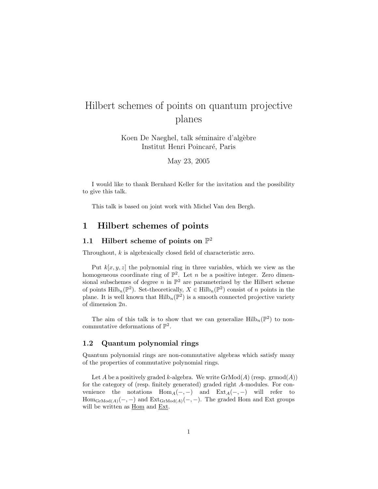# Hilbert schemes of points on quantum projective planes

Koen De Naeghel, talk séminaire d'algèbre Institut Henri Poincar´e, Paris

May 23, 2005

I would like to thank Bernhard Keller for the invitation and the possibility to give this talk.

This talk is based on joint work with Michel Van den Bergh.

# 1 Hilbert schemes of points

# 1.1 Hilbert scheme of points on  $\mathbb{P}^2$

Throughout, k is algebraically closed field of characteristic zero.

Put  $k[x, y, z]$  the polynomial ring in three variables, which we view as the homogeneous coordinate ring of  $\mathbb{P}^2$ . Let *n* be a positive integer. Zero dimensional subschemes of degree n in  $\mathbb{P}^2$  are parameterized by the Hilbert scheme of points  $\mathrm{Hilb}_{n}(\mathbb{P}^{2})$ . Set-theoretically,  $X \in \mathrm{Hilb}_{n}(\mathbb{P}^{2})$  consist of n points in the plane. It is well known that  $\mathrm{Hilb}_{n}(\mathbb{P}^{2})$  is a smooth connected projective variety of dimension 2n.

The aim of this talk is to show that we can generalize  $\mathrm{Hilb}_n(\mathbb{P}^2)$  to noncommutative deformations of  $\mathbb{P}^2$ .

#### 1.2 Quantum polynomial rings

Quantum polynomial rings are non-commutative algebras which satisfy many of the properties of commutative polynomial rings.

Let A be a positively graded k-algebra. We write  $\mathrm{GrMod}(A)$  (resp. grmod $(A)$ ) for the category of (resp. finitely generated) graded right A-modules. For convenience the notations  $Hom_A(-, -)$  and  $Ext_A(-, -)$  will refer to  $Hom_{GrMod(A)}(-, -)$  and  $Ext_{GrMod(A)}(-, -)$ . The graded Hom and Ext groups will be written as Hom and Ext.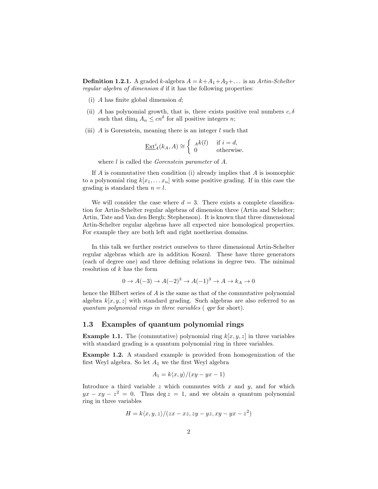**Definition 1.2.1.** A graded k-algebra  $A = k + A_1 + A_2 + ...$  is an Artin-Schelter regular algebra of dimension d if it has the following properties:

- (i) A has finite global dimension  $d$ ;
- (ii) A has polynomial growth, that is, there exists positive real numbers  $c, \delta$ such that  $\dim_k A_n \leq c n^{\delta}$  for all positive integers *n*;
- (iii) A is Gorenstein, meaning there is an integer  $l$  such that

$$
\underline{\operatorname{Ext}}_A^i(k_A, A) \cong \begin{cases} A^k(l) & \text{if } i = d, \\ 0 & \text{otherwise.} \end{cases}
$$

where *l* is called the *Gorenstein parameter* of *A*.

If  $A$  is commutative then condition (i) already implies that  $A$  is isomorphic to a polynomial ring  $k[x_1, \ldots x_n]$  with some positive grading. If in this case the grading is standard then  $n = l$ .

We will consider the case where  $d = 3$ . There exists a complete classification for Artin-Schelter regular algebras of dimension three (Artin and Schelter; Artin, Tate and Van den Bergh; Stephenson). It is known that three dimensional Artin-Schelter regular algebras have all expected nice homological properties. For example they are both left and right noetherian domains.

In this talk we further restrict ourselves to three dimensional Artin-Schelter regular algebras which are in addition Koszul. These have three generators (each of degree one) and three defining relations in degree two. The minimal resolution of k has the form

$$
0 \to A(-3) \to A(-2)^3 \to A(-1)^3 \to A \to k_A \to 0
$$

hence the Hilbert series of A is the same as that of the commutative polynomial algebra  $k[x, y, z]$  with standard grading. Such algebras are also referred to as quantum polynomial rings in three variables ( qpr for short).

#### 1.3 Examples of quantum polynomial rings

**Example 1.1.** The (commutative) polynomial ring  $k[x, y, z]$  in three variables with standard grading is a quantum polynomial ring in three variables.

Example 1.2. A standard example is provided from homogenization of the first Weyl algebra. So let  $A_1$  we the first Weyl algebra

$$
A_1 = k \langle x, y \rangle / (xy - yx - 1)
$$

Introduce a third variable  $z$  which commutes with  $x$  and  $y$ , and for which  $yx - xy - z^2 = 0$ . Thus deg  $z = 1$ , and we obtain a quantum polynomial ring in three variables

$$
H = k \langle x, y, z \rangle / (zx - xz, zy - yz, xy - yx - z^2)
$$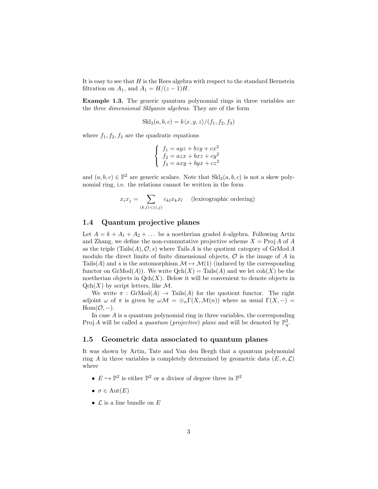It is easy to see that  $H$  is the Rees algebra with respect to the standard Bernstein filtration on  $A_1$ , and  $A_1 = H/(z-1)H$ .

Example 1.3. The generic quantum polynomial rings in three variables are the three dimensional Sklyanin algebras. They are of the form

$$
Skl_3(a, b, c) = k\langle x, y, z\rangle/(f_1, f_2, f_3)
$$

where  $f_1, f_2, f_3$  are the quadratic equations

$$
\begin{cases}\nf_1 = ayz + bzy + cx^2 \\
f_2 = azx + bxz + cy^2 \\
f_3 = axy + byx + cz^2\n\end{cases}
$$

and  $(a, b, c) \in \mathbb{P}^2$  are generic scalars. Note that  $\text{Skl}_3(a, b, c)$  is not a skew polynomial ring, i.e. the relations cannot be written in the form

$$
x_i x_j = \sum_{(k,l) < (i,j)} c_{kl} x_k x_l \quad \text{(lexicographic ordering)}
$$

#### 1.4 Quantum projective planes

Let  $A = k + A_1 + A_2 + \ldots$  be a noetherian graded k-algebra. Following Artin and Zhang, we define the non-commutative projective scheme  $X = \text{Proj } A$  of A as the triple  $(Tails(A), \mathcal{O}, s)$  where Tails A is the quotient category of GrMod A modulo the direct limits of finite dimensional objects,  $\mathcal O$  is the image of  $A$  in Tails(A) and s is the automorphism  $\mathcal{M} \mapsto \mathcal{M}(1)$  (induced by the corresponding functor on  $\mathrm{GrMod}(A)$ . We write  $\mathrm{Qch}(X) = \mathrm{Tails}(A)$  and we let  $\mathrm{coh}(X)$  be the noetherian objects in  $Qch(X)$ . Below it will be convenient to denote objects in  $Qch(X)$  by script letters, like M.

We write  $\pi$ : GrMod $(A) \rightarrow$  Tails $(A)$  for the quotient functor. The right adjoint  $\omega$  of  $\pi$  is given by  $\omega \mathcal{M} = \bigoplus_n \Gamma(X, \mathcal{M}(n))$  where as usual  $\Gamma(X, -) =$  $Hom(\mathcal{O}, -).$ 

In case  $A$  is a quantum polynomial ring in three variables, the corresponding Proj A will be called a quantum (projective) plane and will be denoted by  $\mathbb{P}^2_q$ .

#### 1.5 Geometric data associated to quantum planes

It was shown by Artin, Tate and Van den Bergh that a quantum polynomial ring A in three variables is completely determined by geometric data  $(E, \sigma, \mathcal{L})$ where

- $E \hookrightarrow \mathbb{P}^2$  is either  $\mathbb{P}^2$  or a divisor of degree three in  $\mathbb{P}^2$
- $\sigma \in \text{Aut}(E)$
- $\mathcal L$  is a line bundle on  $E$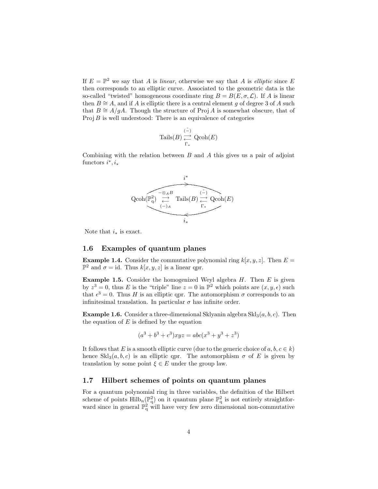If  $E = \mathbb{P}^2$  we say that A is linear, otherwise we say that A is elliptic since E then corresponds to an elliptic curve. Associated to the geometric data is the so-called "twisted" homogeneous coordinate ring  $B = B(E, \sigma, \mathcal{L})$ . If A is linear then  $B \cong A$ , and if A is elliptic there is a central element g of degree 3 of A such that  $B \cong A/qA$ . Though the structure of Proj A is somewhat obscure, that of  $Proj B$  is well understood: There is an equivalence of categories

$$
\mathrm{Tails}(B) \underset{\Gamma_*}{\overset{(\tilde{-})}{\underset{\Gamma_*}{\longleftrightarrow}}} \mathrm{Qcoh}(E)
$$

Combining with the relation between  $B$  and  $A$  this gives us a pair of adjoint functors  $i^*, i_*$ 



Note that  $i_*$  is exact.

#### 1.6 Examples of quantum planes

**Example 1.4.** Consider the commutative polynomial ring  $k[x, y, z]$ . Then  $E =$  $\mathbb{P}^2$  and  $\sigma = id$ . Thus  $k[x, y, z]$  is a linear qpr.

**Example 1.5.** Consider the homogenized Weyl algebra  $H$ . Then  $E$  is given by  $z^3 = 0$ , thus E is the "triple" line  $z = 0$  in  $\mathbb{P}^2$  which points are  $(x, y, \epsilon)$  such that  $\epsilon^3 = 0$ . Thus H is an elliptic qpr. The automorphism  $\sigma$  corresponds to an infinitesimal translation. In particular  $\sigma$  has infinite order.

**Example 1.6.** Consider a three-dimensional Sklyanin algebra  $\text{Skl}_3(a, b, c)$ . Then the equation of  $E$  is defined by the equation

$$
(a3 + b3 + c3)xyz = abc(x3 + y3 + z3)
$$

It follows that E is a smooth elliptic curve (due to the generic choice of  $a, b, c \in k$ ) hence  $\text{Skl}_3(a, b, c)$  is an elliptic qpr. The automorphism  $\sigma$  of E is given by translation by some point  $\xi \in E$  under the group law.

### 1.7 Hilbert schemes of points on quantum planes

For a quantum polynomial ring in three variables, the definition of the Hilbert scheme of points  $\text{Hilb}_n(\mathbb{P}_q^2)$  on it quantum plane  $\mathbb{P}_q^2$  is not entirely straightforward since in general  $\mathbb{P}_q^2$  will have very few zero dimensional non-commutative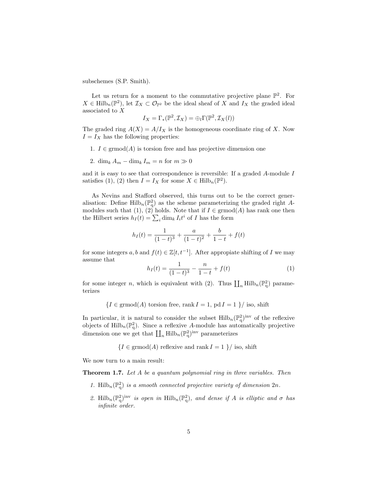subschemes (S.P. Smith).

Let us return for a moment to the commutative projective plane  $\mathbb{P}^2$ . For  $X \in \mathrm{Hilb}_{n}(\mathbb{P}^{2}),$  let  $\mathcal{I}_{X} \subset \mathcal{O}_{\mathbb{P}^{2}}$  be the ideal sheaf of X and  $I_{X}$  the graded ideal associated to X

$$
I_X = \Gamma_*(\mathbb{P}^2, \mathcal{I}_X) = \bigoplus_l \Gamma(\mathbb{P}^2, \mathcal{I}_X(l))
$$

The graded ring  $A(X) = A/I_X$  is the homogeneous coordinate ring of X. Now  $I = I_X$  has the following properties:

- 1.  $I \in \mathrm{grmod}(A)$  is torsion free and has projective dimension one
- 2. dim<sub>k</sub>  $A_m \dim_k I_m = n$  for  $m \gg 0$

and it is easy to see that correspondence is reversible: If a graded A-module I satisfies (1), (2) then  $I = I_X$  for some  $X \in \text{Hilb}_n(\mathbb{P}^2)$ .

As Nevins and Stafford observed, this turns out to be the correct generalisation: Define  $\mathrm{Hilb}_{n}(\mathbb{P}_{q}^{2})$  as the scheme parameterizing the graded right Amodules such that (1), (2) holds. Note that if  $I \in \mathrm{grmod}(A)$  has rank one then the Hilbert series  $h_I(t) = \sum_i \dim_k I_i t^i$  of I has the form

$$
h_I(t) = \frac{1}{(1-t)^3} + \frac{a}{(1-t)^2} + \frac{b}{1-t} + f(t)
$$

for some integers  $a, b$  and  $f(t) \in \mathbb{Z}[t, t^{-1}]$ . After appropiate shifting of I we may assume that

$$
h_I(t) = \frac{1}{(1-t)^3} - \frac{n}{1-t} + f(t)
$$
\n(1)

for some integer *n*, which is equivalent with (2). Thus  $\prod_n \text{Hilb}_n(\mathbb{P}^2_q)$  parameterizes

 ${I \in \text{grmod}(A) \text{ torsion free, rank } I = 1, \text{pd } I = 1 }$  / iso, shift

In particular, it is natural to consider the subset  $\mathrm{Hilb}_{n}(\mathbb{P}_{q}^{2})^{\text{inv}}$  of the reflexive objects of  $\mathrm{Hilb}_{n}(\mathbb{P}_{q}^{2})$ . Since a reflexive A-module has automatically projective dimension one we get that  $\prod_n \mathrm{Hilb}_n(\mathbb{P}^2_q)^{\mathrm{inv}}$  parameterizes

 ${I \in \mathrm{grmod}(A) \text{ reflexive and } \mathrm{rank}\, I = 1 }$  / iso, shift

We now turn to a main result:

Theorem 1.7. Let A be a quantum polynomial ring in three variables. Then

- 1. Hilb<sub>n</sub>( $\mathbb{P}^2$ ) is a smooth connected projective variety of dimension  $2n$ .
- 2. Hilb<sub>n</sub>( $\mathbb{P}^2$ )<sup>inv</sup> is open in Hilb<sub>n</sub>( $\mathbb{P}^2$ ), and dense if A is elliptic and  $\sigma$  has infinite order.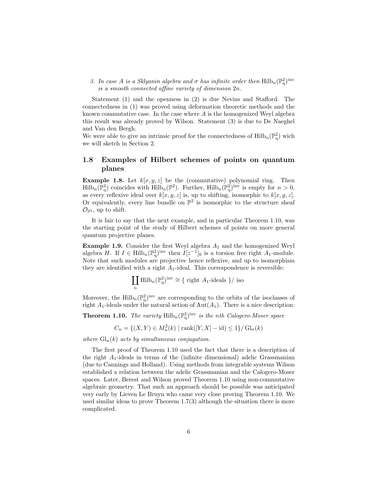3. In case A is a Sklyanin algebra and  $\sigma$  has infinite order then  $\mathrm{Hilb}_{n}(\mathbb{P}_{q}^{2})^{\text{inv}}$ is a smooth connected affine variety of dimension 2n.

Statement (1) and the openness in (2) is due Nevins and Stafford. The connectedness in (1) was proved using deformation theoretic methods and the known commutative case. In the case where  $A$  is the homogenized Weyl algebra this result was already proved by Wilson. Statement (3) is due to De Naeghel and Van den Bergh.

We were able to give an intrinsic proof for the connectedness of  $\mathrm{Hilb}_{n}(\mathbb{P}_{q}^{2})$  wich we will sketch in Section 2.

### 1.8 Examples of Hilbert schemes of points on quantum planes

**Example 1.8.** Let  $k[x, y, z]$  be the (commutative) polynomial ring. Then  $\text{Hilb}_n(\mathbb{P}^2_q)$  coincides with  $\text{Hilb}_n(\mathbb{P}^2)$ . Further,  $\text{Hilb}_n(\mathbb{P}^2_q)$ <sup>inv</sup> is empty for  $n > 0$ , as every reflexive ideal over  $k[x, y, z]$  is, up to shifting, isomorphic to  $k[x, y, z]$ . Or equivalently, every line bundle on  $\mathbb{P}^2$  is isomorphic to the structure sheaf  $\mathcal{O}_{\mathbb{P}^2}$ , up to shift.

It is fair to say that the next example, and in particular Theorem 1.10, was the starting point of the study of Hilbert schemes of points on more general quantum projective planes.

**Example 1.9.** Consider the first Weyl algebra  $A_1$  and the homogenized Weyl algebra H. If  $I \in \text{Hilb}_n(\mathbb{P}_q^2)^{\text{inv}}$  then  $I[z^{-1}]_0$  is a torsion free right  $A_1$ -module. Note that such modules are projective hence reflexive, and up to isomorphism they are identified with a right  $A_1$ -ideal. This correspondence is reversible:

$$
\coprod_n \mathrm{Hilb}_n(\mathbb{P}_q^2)^{\mathrm{inv}} \cong \{ \text{ right } A_1 \text{-ideals } \} / \text{ iso}
$$

Moreover, the  $\mathrm{Hilb}_{n}(\mathbb{P}_{q}^{2})^{\text{inv}}$  are corresponding to the orbits of the isoclasses of right  $A_1$ -ideals under the natural action of  $Aut(A_1)$ . There is a nice description:

**Theorem 1.10.** The variety  $\text{Hilb}_n(\mathbb{P}^2_q)^{\text{inv}}$  is the nth Calogero-Moser space

$$
C_n = \{(X, Y) \in M_n^2(k) \mid \text{rank}([Y, X] - id) \le 1\} / \mathrm{Gl}_n(k)
$$

where  $\mathrm{Gl}_n(k)$  acts by simultaneous conjugation.

The first proof of Theorem 1.10 used the fact that there is a description of the right  $A_1$ -ideals in terms of the (infinite dimensional) adelic Grassmanian (due to Cannings and Holland). Using methods from integrable systems Wilson established a relation between the adelic Grassmanian and the Calogero-Moser spaces. Later, Berest and Wilson proved Theorem 1.10 using non-commutative algebraic geometry. That such an approach should be possible was anticipated very early by Lieven Le Bruyn who came very close proving Theorem 1.10. We used similar ideas to prove Theorem 1.7(3) although the situation there is more complicated.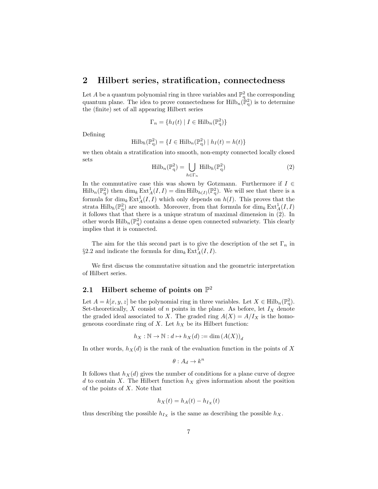## 2 Hilbert series, stratification, connectedness

Let A be a quantum polynomial ring in three variables and  $\mathbb{P}^2_q$  the corresponding quantum plane. The idea to prove connectedness for  $\mathrm{Hilb}_{n}(\mathbb{P}_{q}^{2})$  is to determine the (finite) set of all appearing Hilbert series

$$
\Gamma_n = \{ h_I(t) \mid I \in \text{Hilb}_n(\mathbb{P}_q^2) \}
$$

Defining

$$
\mathrm{Hilb}_{h}(\mathbb{P}_{q}^{2}) = \{ I \in \mathrm{Hilb}_{n}(\mathbb{P}_{q}^{2}) \mid h_{I}(t) = h(t) \}
$$

we then obtain a stratification into smooth, non-empty connected locally closed sets

$$
\mathrm{Hilb}_{n}(\mathbb{P}_{q}^{2}) = \bigcup_{h \in \Gamma_{n}} \mathrm{Hilb}_{h}(\mathbb{P}_{q}^{2})
$$
\n(2)

In the commutative case this was shown by Gotzmann. Furthermore if  $I \in$  $\text{Hilb}_n(\mathbb{P}^2_q)$  then  $\dim_k \text{Ext}^1_A(I, I) = \dim \text{Hilb}_{h(I)}(\mathbb{P}^2_q)$ . We will see that there is a formula for  $\dim_k \text{Ext}^1_A(I,I)$  which only depends on  $h(I)$ . This proves that the strata Hilb<sub>h</sub>( $\mathbb{P}^2$ ) are smooth. Moreover, from that formula for  $\dim_k \text{Ext}^1_A(I,I)$ it follows that that there is a unique stratum of maximal dimension in (2). In other words  $\mathrm{Hilb}_{n}(\mathbb{P}_{q}^{2})$  contains a dense open connected subvariety. This clearly implies that it is connected.

The aim for the this second part is to give the description of the set  $\Gamma_n$  in §2.2 and indicate the formula for  $\dim_k \operatorname{Ext}_A^{\overline{1}}(I, I)$ .

We first discuss the commutative situation and the geometric interpretation of Hilbert series.

# 2.1 Hilbert scheme of points on  $\mathbb{P}^2$

Let  $A = k[x, y, z]$  be the polynomial ring in three variables. Let  $X \in \text{Hilb}_n(\mathbb{P}_q^2)$ . Set-theoretically, X consist of n points in the plane. As before, let  $I_X$  denote the graded ideal associated to X. The graded ring  $A(X) = A/I_X$  is the homogeneous coordinate ring of X. Let  $h_X$  be its Hilbert function:

$$
h_X : \mathbb{N} \to \mathbb{N} : d \mapsto h_X(d) := \dim (A(X))_d
$$

In other words,  $h_X(d)$  is the rank of the evaluation function in the points of X

$$
\theta: A_d \to k^n
$$

It follows that  $h_X(d)$  gives the number of conditions for a plane curve of degree d to contain X. The Hilbert function  $h<sub>X</sub>$  gives information about the position of the points of  $X$ . Note that

$$
h_X(t) = h_A(t) - h_{I_X}(t)
$$

thus describing the possible  $h_{I_x}$  is the same as describing the possible  $h_x$ .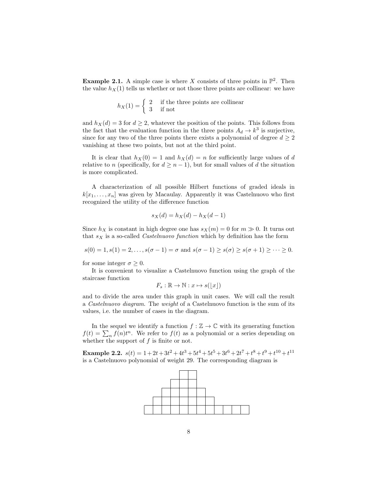**Example 2.1.** A simple case is where X consists of three points in  $\mathbb{P}^2$ . Then the value  $h_X(1)$  tells us whether or not those three points are collinear: we have

$$
h_X(1) = \begin{cases} 2 & \text{if the three points are collinear} \\ 3 & \text{if not} \end{cases}
$$

and  $h_X(d) = 3$  for  $d \geq 2$ , whatever the position of the points. This follows from the fact that the evaluation function in the three points  $A_d \to k^3$  is surjective, since for any two of the three points there exists a polynomial of degree  $d \geq 2$ vanishing at these two points, but not at the third point.

It is clear that  $h_X(0) = 1$  and  $h_X(d) = n$  for sufficiently large values of d relative to n (specifically, for  $d \geq n-1$ ), but for small values of d the situation is more complicated.

A characterization of all possible Hilbert functions of graded ideals in  $k[x_1, \ldots, x_n]$  was given by Macaulay. Apparently it was Castelnuovo who first recognized the utility of the difference function

$$
s_X(d) = h_X(d) - h_X(d-1)
$$

Since  $h_X$  is constant in high degree one has  $s_X(m) = 0$  for  $m \gg 0$ . It turns out that  $s_X$  is a so-called *Castelnuovo function* which by definition has the form

 $s(0) = 1, s(1) = 2, \ldots, s(\sigma - 1) = \sigma \text{ and } s(\sigma - 1) \geq s(\sigma) \geq s(\sigma + 1) \geq \cdots \geq 0.$ 

for some integer  $\sigma \geq 0$ .

It is convenient to visualize a Castelnuovo function using the graph of the staircase function

$$
F_s : \mathbb{R} \to \mathbb{N} : x \mapsto s(\lfloor x \rfloor)
$$

and to divide the area under this graph in unit cases. We will call the result a Castelnuovo diagram. The weight of a Castelnuovo function is the sum of its values, i.e. the number of cases in the diagram.

In the sequel we identify a function  $f : \mathbb{Z} \to \mathbb{C}$  with its generating function  $f(t) = \sum_n f(n)t^n$ . We refer to  $f(t)$  as a polynomial or a series depending on whether the support of  $f$  is finite or not.

Example 2.2.  $s(t) = 1 + 2t + 3t^2 + 4t^3 + 5t^4 + 5t^5 + 3t^6 + 2t^7 + t^8 + t^9 + t^{10} + t^{11}$ is a Castelnuovo polynomial of weight 29. The corresponding diagram is

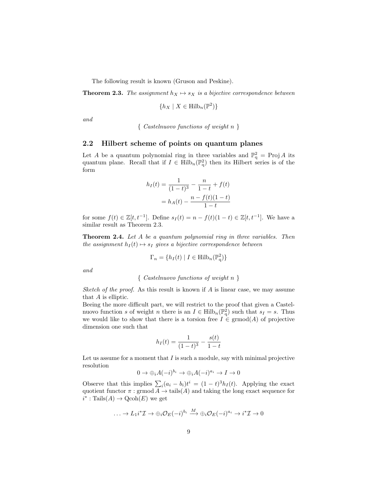The following result is known (Gruson and Peskine).

**Theorem 2.3.** The assignment  $h_X \mapsto s_X$  is a bijective correspondence between

$$
\{h_X \mid X \in \text{Hilb}_n(\mathbb{P}^2)\}
$$

and

{ Castelnuovo functions of weight n }

#### 2.2 Hilbert scheme of points on quantum planes

Let A be a quantum polynomial ring in three variables and  $\mathbb{P}^2_q$  = Proj A its quantum plane. Recall that if  $I \in Hilb_n(\mathbb{P}_q^2)$  then its Hilbert series is of the form

$$
h_I(t) = \frac{1}{(1-t)^3} - \frac{n}{1-t} + f(t)
$$

$$
= h_A(t) - \frac{n - f(t)(1-t)}{1-t}
$$

for some  $f(t) \in \mathbb{Z}[t, t^{-1}]$ . Define  $s_I(t) = n - f(t)(1-t) \in \mathbb{Z}[t, t^{-1}]$ . We have a similar result as Theorem 2.3.

**Theorem 2.4.** Let A be a quantum polynomial ring in three variables. Then the assignment  $h_I(t) \mapsto s_I$  gives a bijective correspondence between

$$
\Gamma_n = \{ h_I(t) \mid I \in \text{Hilb}_n(\mathbb{P}_q^2) \}
$$

and

$$
\{ \ \textit{Castelnuovo functions of weight } n \ \}
$$

Sketch of the proof. As this result is known if  $A$  is linear case, we may assume that A is elliptic.

Beeing the more difficult part, we will restrict to the proof that given a Castelnuovo function s of weight n there is an  $I \in \mathrm{Hilb}_{n}(\mathbb{P}_{q}^{2})$  such that  $s_{I} = s$ . Thus we would like to show that there is a torsion free  $I \in \mathrm{grmod}(A)$  of projective dimension one such that

$$
h_I(t) = \frac{1}{(1-t)^3} - \frac{s(t)}{1-t}
$$

Let us assume for a moment that  $I$  is such a module, say with minimal projective resolution

$$
0 \to \bigoplus_i A(-i)^{b_i} \to \bigoplus_i A(-i)^{a_i} \to I \to 0
$$

Observe that this implies  $\sum_i (a_i - b_i)t^i = (1 - t)^3 h_I(t)$ . Applying the exact quotient functor  $\pi$ : grmod  $A \to \text{tails}(A)$  and taking the long exact sequence for  $i^* : \text{Tails}(A) \to \text{Qcoh}(E)$  we get

$$
\ldots \to L_1 i^* \mathcal{I} \to \oplus_i \mathcal{O}_E(-i)^{b_i} \xrightarrow{M} \oplus_i \mathcal{O}_E(-i)^{a_i} \to i^* \mathcal{I} \to 0
$$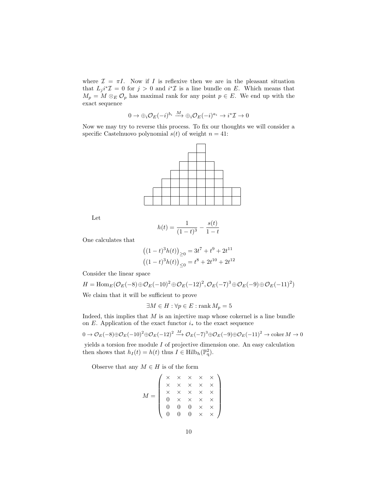where  $\mathcal{I} = \pi I$ . Now if I is reflexive then we are in the pleasant situation that  $L_j i^* \mathcal{I} = 0$  for  $j > 0$  and  $i^* \mathcal{I}$  is a line bundle on E. Which means that  $M_p = M \otimes_E \mathcal{O}_p$  has maximal rank for any point  $p \in E$ . We end up with the exact sequence

$$
0 \to \oplus_i {\mathcal O}_E(-i)^{b_i} \overset{M}{\longrightarrow} \oplus_i {\mathcal O}_E(-i)^{a_i} \to i^*{\mathcal I} \to 0
$$

Now we may try to reverse this process. To fix our thoughts we will consider a specific Castelnuovo polynomial  $s(t)$  of weight  $n = 41$ :



Let

$$
h(t) = \frac{1}{(1-t)^3} - \frac{s(t)}{1-t}
$$

One calculates that

$$
((1-t)^{3}h(t))_{\geq 0} = 3t^{7} + t^{9} + 2t^{11}
$$

$$
((1-t)^{3}h(t))_{\leq 0} = t^{8} + 2t^{10} + 2t^{12}
$$

Consider the linear space

$$
H = \text{Hom}_E(\mathcal{O}_E(-8) \oplus \mathcal{O}_E(-10)^2 \oplus \mathcal{O}_E(-12)^2, \mathcal{O}_E(-7)^3 \oplus \mathcal{O}_E(-9) \oplus \mathcal{O}_E(-11)^2)
$$

We claim that it will be sufficient to prove

$$
\exists M \in H : \forall p \in E : \text{rank } M_p = 5
$$

Indeed, this implies that  $M$  is an injective map whose cokernel is a line bundle on E. Application of the exact functor  $i_*$  to the exact sequence

 $0 \to \mathcal{O}_E(-8) \oplus \mathcal{O}_E(-10)^2 \oplus \mathcal{O}_E(-12)^2 \xrightarrow{M} \mathcal{O}_E(-7)^3 \oplus \mathcal{O}_E(-9) \oplus \mathcal{O}_E(-11)^2 \to \mathrm{coker}\,M \to 0$ 

yields a torsion free module  $I$  of projective dimension one. An easy calculation then shows that  $h_I(t) = h(t)$  thus  $I \in \text{Hilb}_h(\mathbb{P}_q^2)$ .

Observe that any  $M \in H$  is of the form

$$
M = \left(\begin{array}{cccc} \times & \times & \times & \times & \times \\ \times & \times & \times & \times & \times \\ \times & \times & \times & \times & \times \\ 0 & \times & \times & \times & \times \\ 0 & 0 & 0 & \times & \times \\ 0 & 0 & 0 & \times & \times \end{array}\right)
$$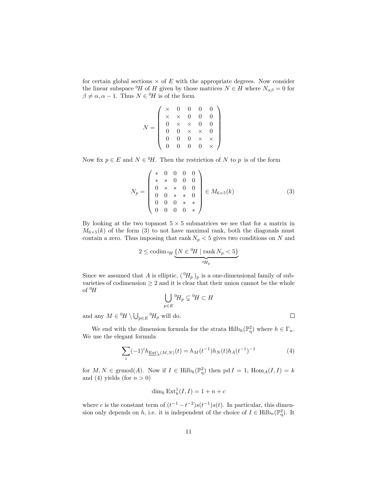for certain global sections  $\times$  of E with the appropriate degrees. Now consider the linear subspace <sup>0</sup>H of H given by those matrices  $N \in H$  where  $N_{\alpha\beta} = 0$  for  $\beta \neq \alpha, \alpha - 1$ . Thus  $N \in {}^{0}H$  is of the form

$$
N = \left(\begin{array}{ccccc} \times & 0 & 0 & 0 & 0 \\ \times & \times & 0 & 0 & 0 \\ 0 & \times & \times & 0 & 0 \\ 0 & 0 & \times & \times & 0 \\ 0 & 0 & 0 & \times & \times \\ 0 & 0 & 0 & 0 & \times \end{array}\right)
$$

Now fix  $p \in E$  and  $N \in {}^{0}H$ . Then the restriction of N to p is of the form

$$
N_p = \left(\begin{array}{cccc} * & 0 & 0 & 0 & 0 \\ * & * & 0 & 0 & 0 \\ 0 & * & * & 0 & 0 \\ 0 & 0 & * & * & 0 \\ 0 & 0 & 0 & * & * \\ 0 & 0 & 0 & 0 & * \end{array}\right) \in M_{6 \times 5}(k) \tag{3}
$$

By looking at the two topmost  $5 \times 5$  submatrices we see that for a matrix in  $M_{6\times5}(k)$  of the form (3) to not have maximal rank, both the diagonals must contain a zero. Thus imposing that rank  $N_p < 5$  gives two conditions on N and

$$
2 \leq \operatorname{codim}_{\mathfrak{I} H} \underbrace{\{N \in {}^0 H \mid \operatorname{rank} N_p < 5\}}_{\mathfrak{I} H_p}
$$

Since we assumed that A is elliptic,  $({}^0H_p)_p$  is a one-dimensional family of subvarieties of codimension  $\geq 2$  and it is clear that their union cannot be the whole of  $^{0}H$ 

$$
\bigcup_{p\in E} {}^0H_p\subsetneq {}^0H\subset H
$$

and any  $M \in {}^{0}\!H \setminus \bigcup_{p \in E} {}^{0}\!H_p$  will do.

We end with the dimension formula for the strata  $\text{Hilb}_h(\mathbb{P}_q^2)$  where  $h \in \Gamma_n$ . We use the elegant formula

$$
\sum_{i} (-1)^{i} h_{\underline{\text{Ext}}_{A}^{i}(M,N)}(t) = h_{M}(t^{-1}) h_{N}(t) h_{A}(t^{-1})^{-1}
$$
(4)

for  $M, N \in \text{grmod}(A)$ . Now if  $I \in \text{Hilb}_h(\mathbb{P}_q^2)$  then  $pd I = 1$ ,  $\text{Hom}_A(I, I) = k$ and (4) yields (for  $n > 0$ )

$$
\dim_k \operatorname{Ext}_k^1(I,I) = 1 + n + c
$$

where c is the constant term of  $(t^{-1} - t^{-2})s(t^{-1})s(t)$ . In particular, this dimension only depends on h, i.e. it is independent of the choice of  $I \in \text{Hilb}_n(\mathbb{P}_q^2)$ . It

 $\Box$